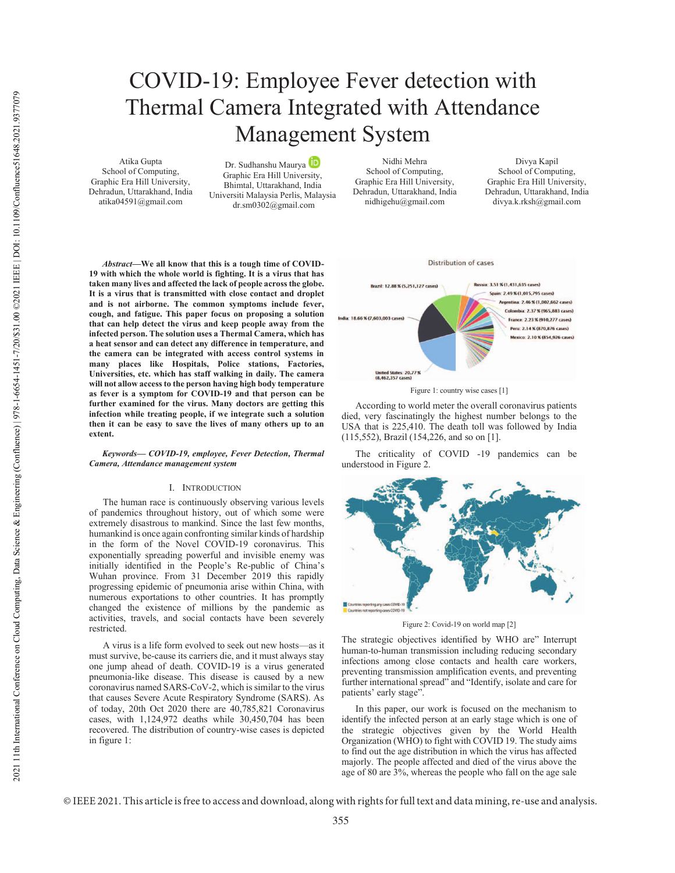# COVID-19: Employee Fever detection with Thermal Camera Integrated with Attendance Management System

Atika Gupta School of Computing, Graphic Era Hill University, Dehradun, Uttarakhand, India atika04591@gmail.com

Dr. Sudhanshu Maurya Graphic Era Hill University, Bhimtal, Uttarakhand, India Universiti Malaysia Perlis, Malaysia dr.sm0302@gmail.com

Nidhi Mehra School of Computing, Graphic Era Hill University, Dehradun, Uttarakhand, India nidhigehu@gmail.com

Divya Kapil School of Computing, Graphic Era Hill University, Dehradun, Uttarakhand, India divya.k.rksh@gmail.com



# *Keywords— COVID-19, employee, Fever Detection, Thermal Camera, Attendance management system*

### I. INTRODUCTION

The human race is continuously observing various levels of pandemics throughout history, out of which some were extremely disastrous to mankind. Since the last few months, humankind is once again confronting similar kinds of hardship in the form of the Novel COVID-19 coronavirus. This exponentially spreading powerful and invisible enemy was initially identified in the People's Re-public of China's Wuhan province. From 31 December 2019 this rapidly progressing epidemic of pneumonia arise within China, with numerous exportations to other countries. It has promptly changed the existence of millions by the pandemic as activities, travels, and social contacts have been severely restricted.

A virus is a life form evolved to seek out new hosts—as it must survive, be-cause its carriers die, and it must always stay one jump ahead of death. COVID-19 is a virus generated pneumonia-like disease. This disease is caused by a new coronavirus named SARS-CoV-2, which is similar to the virus that causes Severe Acute Respiratory Syndrome (SARS). As of today, 20th Oct 2020 there are 40,785,821 Coronavirus cases, with 1,124,972 deaths while 30,450,704 has been recovered. The distribution of country-wise cases is depicted in figure 1:



Figure 1: country wise cases [1]

According to world meter the overall coronavirus patients died, very fascinatingly the highest number belongs to the USA that is 225,410. The death toll was followed by India (115,552), Brazil (154,226, and so on [1].

The criticality of COVID -19 pandemics can be understood in Figure 2.



Figure 2: Covid-19 on world map [2]

The strategic objectives identified by WHO are" Interrupt human-to-human transmission including reducing secondary infections among close contacts and health care workers, preventing transmission amplification events, and preventing further international spread" and "Identify, isolate and care for patients' early stage".

In this paper, our work is focused on the mechanism to identify the infected person at an early stage which is one of the strategic objectives given by the World Health Organization (WHO) to fight with COVID 19. The study aims to find out the age distribution in which the virus has affected majorly. The people affected and died of the virus above the age of 80 are 3%, whereas the people who fall on the age sale

© IEEE 2021. This article is free to access and download, along with rights for full text and data mining, re-use and analysis.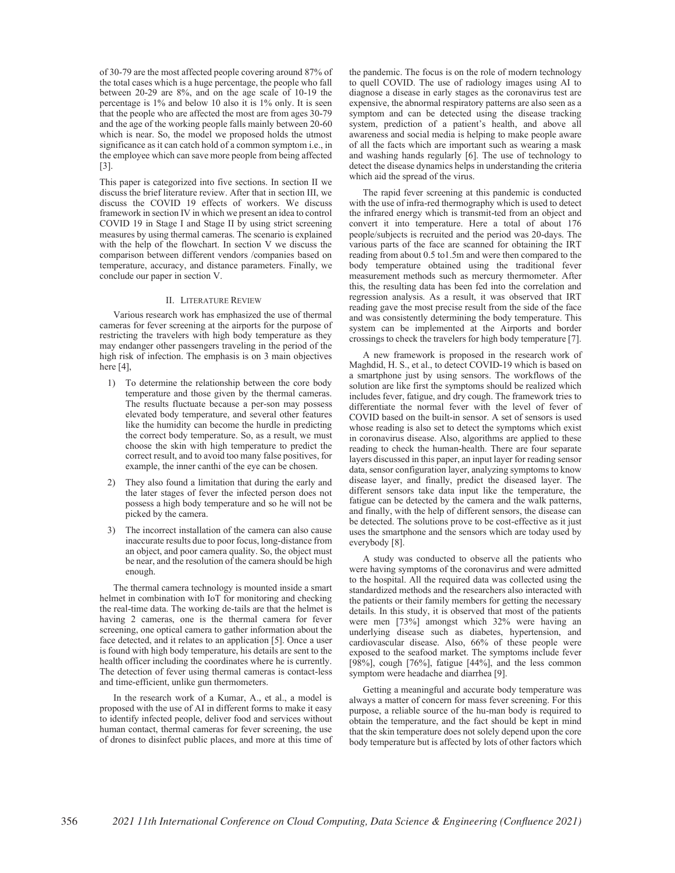of 30-79 are the most affected people covering around 87% of the total cases which is a huge percentage, the people who fall between 20-29 are 8%, and on the age scale of 10-19 the percentage is 1% and below 10 also it is 1% only. It is seen that the people who are affected the most are from ages 30-79 and the age of the working people falls mainly between 20-60 which is near. So, the model we proposed holds the utmost significance as it can catch hold of a common symptom i.e., in the employee which can save more people from being affected [3].

This paper is categorized into five sections. In section II we discuss the brief literature review. After that in section III, we discuss the COVID 19 effects of workers. We discuss framework in section IV in which we present an idea to control COVID 19 in Stage I and Stage II by using strict screening measures by using thermal cameras. The scenario is explained with the help of the flowchart. In section V we discuss the comparison between different vendors /companies based on temperature, accuracy, and distance parameters. Finally, we conclude our paper in section V.

#### II. LITERATURE REVIEW

Various research work has emphasized the use of thermal cameras for fever screening at the airports for the purpose of restricting the travelers with high body temperature as they may endanger other passengers traveling in the period of the high risk of infection. The emphasis is on 3 main objectives here  $[4]$ ,

- 1) To determine the relationship between the core body temperature and those given by the thermal cameras. The results fluctuate because a per-son may possess elevated body temperature, and several other features like the humidity can become the hurdle in predicting the correct body temperature. So, as a result, we must choose the skin with high temperature to predict the correct result, and to avoid too many false positives, for example, the inner canthi of the eye can be chosen.
- 2) They also found a limitation that during the early and the later stages of fever the infected person does not possess a high body temperature and so he will not be picked by the camera.
- 3) The incorrect installation of the camera can also cause inaccurate results due to poor focus, long-distance from an object, and poor camera quality. So, the object must be near, and the resolution of the camera should be high enough.

The thermal camera technology is mounted inside a smart helmet in combination with IoT for monitoring and checking the real-time data. The working de-tails are that the helmet is having 2 cameras, one is the thermal camera for fever screening, one optical camera to gather information about the face detected, and it relates to an application [5]. Once a user is found with high body temperature, his details are sent to the health officer including the coordinates where he is currently. The detection of fever using thermal cameras is contact-less and time-efficient, unlike gun thermometers.

In the research work of a Kumar, A., et al., a model is proposed with the use of AI in different forms to make it easy to identify infected people, deliver food and services without human contact, thermal cameras for fever screening, the use of drones to disinfect public places, and more at this time of the pandemic. The focus is on the role of modern technology to quell COVID. The use of radiology images using AI to diagnose a disease in early stages as the coronavirus test are expensive, the abnormal respiratory patterns are also seen as a symptom and can be detected using the disease tracking system, prediction of a patient's health, and above all awareness and social media is helping to make people aware of all the facts which are important such as wearing a mask and washing hands regularly [6]. The use of technology to detect the disease dynamics helps in understanding the criteria which aid the spread of the virus.

The rapid fever screening at this pandemic is conducted with the use of infra-red thermography which is used to detect the infrared energy which is transmit-ted from an object and convert it into temperature. Here a total of about 176 people/subjects is recruited and the period was 20-days. The various parts of the face are scanned for obtaining the IRT reading from about 0.5 to1.5m and were then compared to the body temperature obtained using the traditional fever measurement methods such as mercury thermometer. After this, the resulting data has been fed into the correlation and regression analysis. As a result, it was observed that IRT reading gave the most precise result from the side of the face and was consistently determining the body temperature. This system can be implemented at the Airports and border crossings to check the travelers for high body temperature [7].

A new framework is proposed in the research work of Maghdid, H. S., et al., to detect COVID-19 which is based on a smartphone just by using sensors. The workflows of the solution are like first the symptoms should be realized which includes fever, fatigue, and dry cough. The framework tries to differentiate the normal fever with the level of fever of COVID based on the built-in sensor. A set of sensors is used whose reading is also set to detect the symptoms which exist in coronavirus disease. Also, algorithms are applied to these reading to check the human-health. There are four separate layers discussed in this paper, an input layer for reading sensor data, sensor configuration layer, analyzing symptoms to know disease layer, and finally, predict the diseased layer. The different sensors take data input like the temperature, the fatigue can be detected by the camera and the walk patterns, and finally, with the help of different sensors, the disease can be detected. The solutions prove to be cost-effective as it just uses the smartphone and the sensors which are today used by everybody [8].

A study was conducted to observe all the patients who were having symptoms of the coronavirus and were admitted to the hospital. All the required data was collected using the standardized methods and the researchers also interacted with the patients or their family members for getting the necessary details. In this study, it is observed that most of the patients were men [73%] amongst which 32% were having an underlying disease such as diabetes, hypertension, and cardiovascular disease. Also, 66% of these people were exposed to the seafood market. The symptoms include fever [98%], cough [76%], fatigue [44%], and the less common symptom were headache and diarrhea [9].

Getting a meaningful and accurate body temperature was always a matter of concern for mass fever screening. For this purpose, a reliable source of the hu-man body is required to obtain the temperature, and the fact should be kept in mind that the skin temperature does not solely depend upon the core body temperature but is affected by lots of other factors which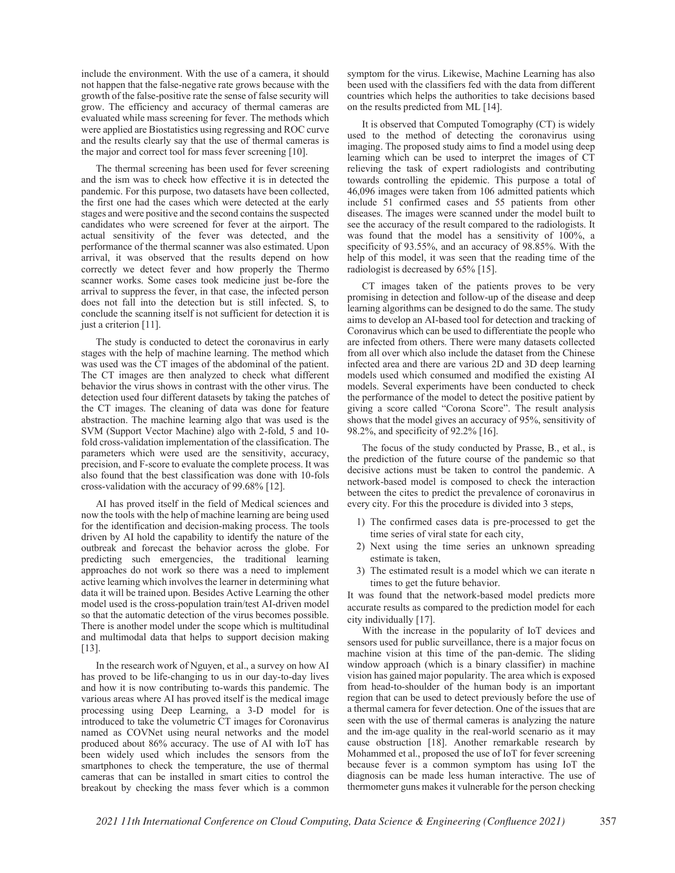include the environment. With the use of a camera, it should not happen that the false-negative rate grows because with the growth of the false-positive rate the sense of false security will grow. The efficiency and accuracy of thermal cameras are evaluated while mass screening for fever. The methods which were applied are Biostatistics using regressing and ROC curve and the results clearly say that the use of thermal cameras is the major and correct tool for mass fever screening [10].

The thermal screening has been used for fever screening and the ism was to check how effective it is in detected the pandemic. For this purpose, two datasets have been collected, the first one had the cases which were detected at the early stages and were positive and the second contains the suspected candidates who were screened for fever at the airport. The actual sensitivity of the fever was detected, and the performance of the thermal scanner was also estimated. Upon arrival, it was observed that the results depend on how correctly we detect fever and how properly the Thermo scanner works. Some cases took medicine just be-fore the arrival to suppress the fever, in that case, the infected person does not fall into the detection but is still infected. S, to conclude the scanning itself is not sufficient for detection it is just a criterion [11].

The study is conducted to detect the coronavirus in early stages with the help of machine learning. The method which was used was the CT images of the abdominal of the patient. The CT images are then analyzed to check what different behavior the virus shows in contrast with the other virus. The detection used four different datasets by taking the patches of the CT images. The cleaning of data was done for feature abstraction. The machine learning algo that was used is the SVM (Support Vector Machine) algo with 2-fold, 5 and 10 fold cross-validation implementation of the classification. The parameters which were used are the sensitivity, accuracy, precision, and F-score to evaluate the complete process. It was also found that the best classification was done with 10-fols cross-validation with the accuracy of 99.68% [12].

AI has proved itself in the field of Medical sciences and now the tools with the help of machine learning are being used for the identification and decision-making process. The tools driven by AI hold the capability to identify the nature of the outbreak and forecast the behavior across the globe. For predicting such emergencies, the traditional learning approaches do not work so there was a need to implement active learning which involves the learner in determining what data it will be trained upon. Besides Active Learning the other model used is the cross-population train/test AI-driven model so that the automatic detection of the virus becomes possible. There is another model under the scope which is multitudinal and multimodal data that helps to support decision making [13].

In the research work of Nguyen, et al., a survey on how AI has proved to be life-changing to us in our day-to-day lives and how it is now contributing to-wards this pandemic. The various areas where AI has proved itself is the medical image processing using Deep Learning, a 3-D model for is introduced to take the volumetric CT images for Coronavirus named as COVNet using neural networks and the model produced about 86% accuracy. The use of AI with IoT has been widely used which includes the sensors from the smartphones to check the temperature, the use of thermal cameras that can be installed in smart cities to control the breakout by checking the mass fever which is a common

symptom for the virus. Likewise, Machine Learning has also been used with the classifiers fed with the data from different countries which helps the authorities to take decisions based on the results predicted from ML [14].

It is observed that Computed Tomography (CT) is widely used to the method of detecting the coronavirus using imaging. The proposed study aims to find a model using deep learning which can be used to interpret the images of CT relieving the task of expert radiologists and contributing towards controlling the epidemic. This purpose a total of 46,096 images were taken from 106 admitted patients which include 51 confirmed cases and 55 patients from other diseases. The images were scanned under the model built to see the accuracy of the result compared to the radiologists. It was found that the model has a sensitivity of 100%, a specificity of 93.55%, and an accuracy of 98.85%. With the help of this model, it was seen that the reading time of the radiologist is decreased by 65% [15].

CT images taken of the patients proves to be very promising in detection and follow-up of the disease and deep learning algorithms can be designed to do the same. The study aims to develop an AI-based tool for detection and tracking of Coronavirus which can be used to differentiate the people who are infected from others. There were many datasets collected from all over which also include the dataset from the Chinese infected area and there are various 2D and 3D deep learning models used which consumed and modified the existing AI models. Several experiments have been conducted to check the performance of the model to detect the positive patient by giving a score called "Corona Score". The result analysis shows that the model gives an accuracy of 95%, sensitivity of 98.2%, and specificity of 92.2% [16].

The focus of the study conducted by Prasse, B., et al., is the prediction of the future course of the pandemic so that decisive actions must be taken to control the pandemic. A network-based model is composed to check the interaction between the cites to predict the prevalence of coronavirus in every city. For this the procedure is divided into 3 steps,

- 1) The confirmed cases data is pre-processed to get the time series of viral state for each city,
- 2) Next using the time series an unknown spreading estimate is taken,
- 3) The estimated result is a model which we can iterate n times to get the future behavior.

It was found that the network-based model predicts more accurate results as compared to the prediction model for each city individually [17].

With the increase in the popularity of IoT devices and sensors used for public surveillance, there is a major focus on machine vision at this time of the pan-demic. The sliding window approach (which is a binary classifier) in machine vision has gained major popularity. The area which is exposed from head-to-shoulder of the human body is an important region that can be used to detect previously before the use of a thermal camera for fever detection. One of the issues that are seen with the use of thermal cameras is analyzing the nature and the im-age quality in the real-world scenario as it may cause obstruction [18]. Another remarkable research by Mohammed et al., proposed the use of IoT for fever screening because fever is a common symptom has using IoT the diagnosis can be made less human interactive. The use of thermometer guns makes it vulnerable for the person checking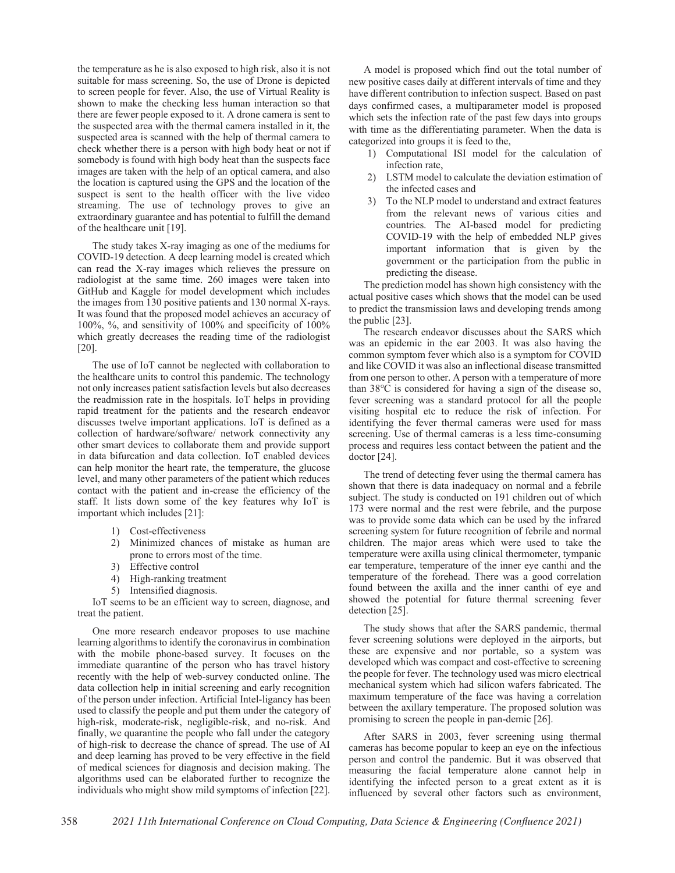the temperature as he is also exposed to high risk, also it is not suitable for mass screening. So, the use of Drone is depicted to screen people for fever. Also, the use of Virtual Reality is shown to make the checking less human interaction so that there are fewer people exposed to it. A drone camera is sent to the suspected area with the thermal camera installed in it, the suspected area is scanned with the help of thermal camera to check whether there is a person with high body heat or not if somebody is found with high body heat than the suspects face images are taken with the help of an optical camera, and also the location is captured using the GPS and the location of the suspect is sent to the health officer with the live video streaming. The use of technology proves to give an extraordinary guarantee and has potential to fulfill the demand of the healthcare unit [19].

The study takes X-ray imaging as one of the mediums for COVID-19 detection. A deep learning model is created which can read the X-ray images which relieves the pressure on radiologist at the same time. 260 images were taken into GitHub and Kaggle for model development which includes the images from 130 positive patients and 130 normal X-rays. It was found that the proposed model achieves an accuracy of 100%, %, and sensitivity of 100% and specificity of 100% which greatly decreases the reading time of the radiologist [20].

The use of IoT cannot be neglected with collaboration to the healthcare units to control this pandemic. The technology not only increases patient satisfaction levels but also decreases the readmission rate in the hospitals. IoT helps in providing rapid treatment for the patients and the research endeavor discusses twelve important applications. IoT is defined as a collection of hardware/software/ network connectivity any other smart devices to collaborate them and provide support in data bifurcation and data collection. IoT enabled devices can help monitor the heart rate, the temperature, the glucose level, and many other parameters of the patient which reduces contact with the patient and in-crease the efficiency of the staff. It lists down some of the key features why IoT is important which includes [21]:

- 1) Cost-effectiveness
- 2) Minimized chances of mistake as human are prone to errors most of the time.
- 3) Effective control
- 4) High-ranking treatment
- 5) Intensified diagnosis.

IoT seems to be an efficient way to screen, diagnose, and treat the patient.

One more research endeavor proposes to use machine learning algorithms to identify the coronavirus in combination with the mobile phone-based survey. It focuses on the immediate quarantine of the person who has travel history recently with the help of web-survey conducted online. The data collection help in initial screening and early recognition of the person under infection. Artificial Intel-ligancy has been used to classify the people and put them under the category of high-risk, moderate-risk, negligible-risk, and no-risk. And finally, we quarantine the people who fall under the category of high-risk to decrease the chance of spread. The use of AI and deep learning has proved to be very effective in the field of medical sciences for diagnosis and decision making. The algorithms used can be elaborated further to recognize the individuals who might show mild symptoms of infection [22].

A model is proposed which find out the total number of new positive cases daily at different intervals of time and they have different contribution to infection suspect. Based on past days confirmed cases, a multiparameter model is proposed which sets the infection rate of the past few days into groups with time as the differentiating parameter. When the data is categorized into groups it is feed to the,

- 1) Computational ISI model for the calculation of infection rate,
- 2) LSTM model to calculate the deviation estimation of the infected cases and
- 3) To the NLP model to understand and extract features from the relevant news of various cities and countries. The AI-based model for predicting COVID-19 with the help of embedded NLP gives important information that is given by the government or the participation from the public in predicting the disease.

The prediction model has shown high consistency with the actual positive cases which shows that the model can be used to predict the transmission laws and developing trends among the public [23].

The research endeavor discusses about the SARS which was an epidemic in the ear 2003. It was also having the common symptom fever which also is a symptom for COVID and like COVID it was also an inflectional disease transmitted from one person to other. A person with a temperature of more than 38℃ is considered for having a sign of the disease so, fever screening was a standard protocol for all the people visiting hospital etc to reduce the risk of infection. For identifying the fever thermal cameras were used for mass screening. Use of thermal cameras is a less time-consuming process and requires less contact between the patient and the doctor [24].

The trend of detecting fever using the thermal camera has shown that there is data inadequacy on normal and a febrile subject. The study is conducted on 191 children out of which 173 were normal and the rest were febrile, and the purpose was to provide some data which can be used by the infrared screening system for future recognition of febrile and normal children. The major areas which were used to take the temperature were axilla using clinical thermometer, tympanic ear temperature, temperature of the inner eye canthi and the temperature of the forehead. There was a good correlation found between the axilla and the inner canthi of eye and showed the potential for future thermal screening fever detection [25].

The study shows that after the SARS pandemic, thermal fever screening solutions were deployed in the airports, but these are expensive and nor portable, so a system was developed which was compact and cost-effective to screening the people for fever. The technology used was micro electrical mechanical system which had silicon wafers fabricated. The maximum temperature of the face was having a correlation between the axillary temperature. The proposed solution was promising to screen the people in pan-demic [26].

After SARS in 2003, fever screening using thermal cameras has become popular to keep an eye on the infectious person and control the pandemic. But it was observed that measuring the facial temperature alone cannot help in identifying the infected person to a great extent as it is influenced by several other factors such as environment,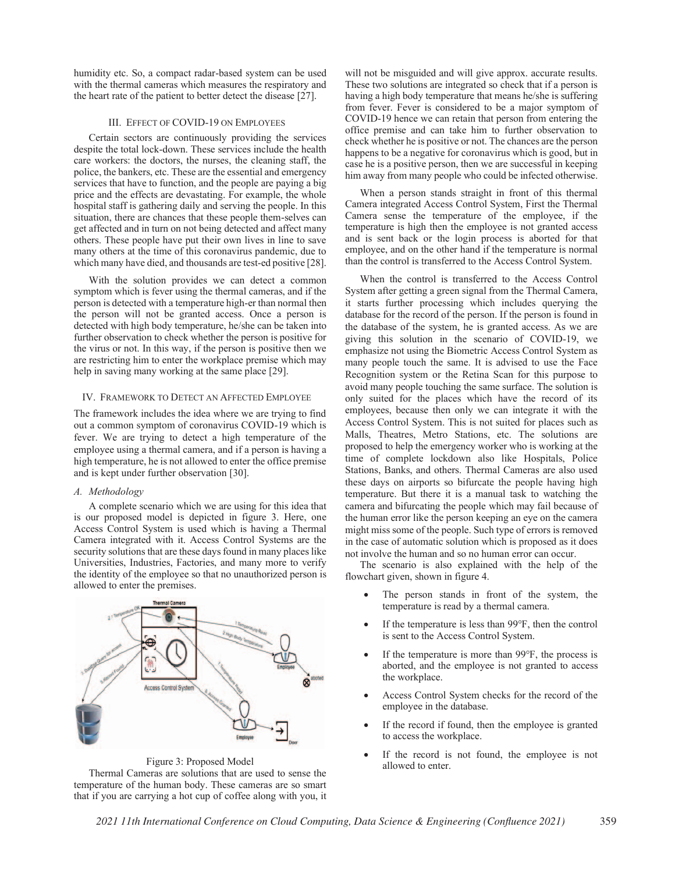humidity etc. So, a compact radar-based system can be used with the thermal cameras which measures the respiratory and the heart rate of the patient to better detect the disease [27].

# III. EFFECT OF COVID-19 ON EMPLOYEES

Certain sectors are continuously providing the services despite the total lock-down. These services include the health care workers: the doctors, the nurses, the cleaning staff, the police, the bankers, etc. These are the essential and emergency services that have to function, and the people are paying a big price and the effects are devastating. For example, the whole hospital staff is gathering daily and serving the people. In this situation, there are chances that these people them-selves can get affected and in turn on not being detected and affect many others. These people have put their own lives in line to save many others at the time of this coronavirus pandemic, due to which many have died, and thousands are test-ed positive [28].

With the solution provides we can detect a common symptom which is fever using the thermal cameras, and if the person is detected with a temperature high-er than normal then the person will not be granted access. Once a person is detected with high body temperature, he/she can be taken into further observation to check whether the person is positive for the virus or not. In this way, if the person is positive then we are restricting him to enter the workplace premise which may help in saving many working at the same place [29].

## IV. FRAMEWORK TO DETECT AN AFFECTED EMPLOYEE

The framework includes the idea where we are trying to find out a common symptom of coronavirus COVID-19 which is fever. We are trying to detect a high temperature of the employee using a thermal camera, and if a person is having a high temperature, he is not allowed to enter the office premise and is kept under further observation [30].

# *A. Methodology*

A complete scenario which we are using for this idea that is our proposed model is depicted in figure 3. Here, one Access Control System is used which is having a Thermal Camera integrated with it. Access Control Systems are the security solutions that are these days found in many places like Universities, Industries, Factories, and many more to verify the identity of the employee so that no unauthorized person is allowed to enter the premises.



Figure 3: Proposed Model Thermal Cameras are solutions that are used to sense the temperature of the human body. These cameras are so smart that if you are carrying a hot cup of coffee along with you, it will not be misguided and will give approx. accurate results. These two solutions are integrated so check that if a person is having a high body temperature that means he/she is suffering from fever. Fever is considered to be a major symptom of COVID-19 hence we can retain that person from entering the office premise and can take him to further observation to check whether he is positive or not. The chances are the person happens to be a negative for coronavirus which is good, but in case he is a positive person, then we are successful in keeping him away from many people who could be infected otherwise.

When a person stands straight in front of this thermal Camera integrated Access Control System, First the Thermal Camera sense the temperature of the employee, if the temperature is high then the employee is not granted access and is sent back or the login process is aborted for that employee, and on the other hand if the temperature is normal than the control is transferred to the Access Control System.

 When the control is transferred to the Access Control System after getting a green signal from the Thermal Camera, it starts further processing which includes querying the database for the record of the person. If the person is found in the database of the system, he is granted access. As we are giving this solution in the scenario of COVID-19, we emphasize not using the Biometric Access Control System as many people touch the same. It is advised to use the Face Recognition system or the Retina Scan for this purpose to avoid many people touching the same surface. The solution is only suited for the places which have the record of its employees, because then only we can integrate it with the Access Control System. This is not suited for places such as Malls, Theatres, Metro Stations, etc. The solutions are proposed to help the emergency worker who is working at the time of complete lockdown also like Hospitals, Police Stations, Banks, and others. Thermal Cameras are also used these days on airports so bifurcate the people having high temperature. But there it is a manual task to watching the camera and bifurcating the people which may fail because of the human error like the person keeping an eye on the camera might miss some of the people. Such type of errors is removed in the case of automatic solution which is proposed as it does not involve the human and so no human error can occur.

The scenario is also explained with the help of the flowchart given, shown in figure 4.

- The person stands in front of the system, the temperature is read by a thermal camera.
- If the temperature is less than 99°F, then the control is sent to the Access Control System.
- If the temperature is more than 99°F, the process is aborted, and the employee is not granted to access the workplace.
- Access Control System checks for the record of the employee in the database.
- If the record if found, then the employee is granted to access the workplace.
- If the record is not found, the employee is not allowed to enter.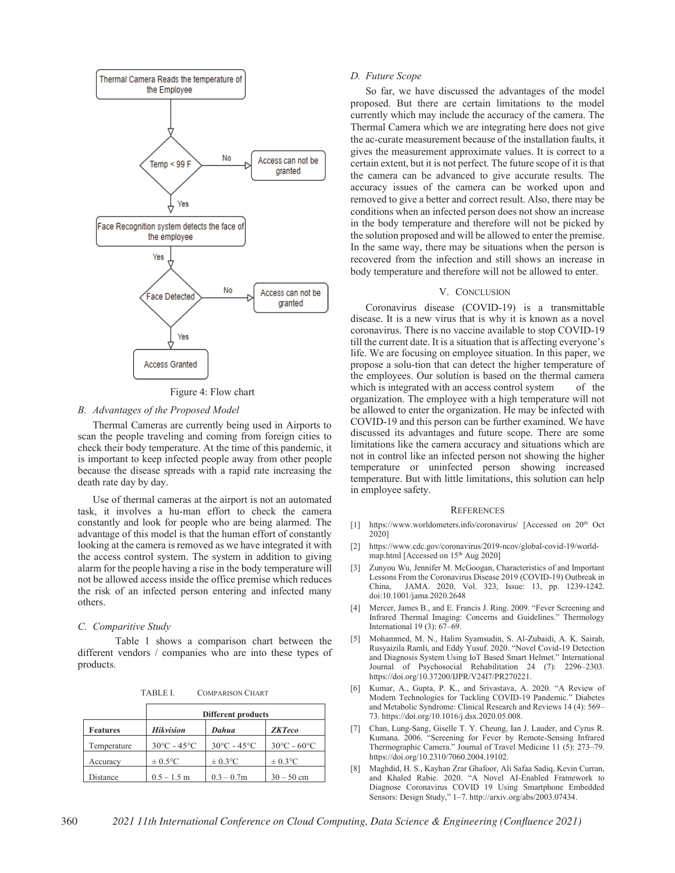

Figure 4: Flow chart

# *B. Advantages of the Proposed Model*

Thermal Cameras are currently being used in Airports to scan the people traveling and coming from foreign cities to check their body temperature. At the time of this pandemic, it is important to keep infected people away from other people because the disease spreads with a rapid rate increasing the death rate day by day.

Use of thermal cameras at the airport is not an automated task, it involves a hu-man effort to check the camera constantly and look for people who are being alarmed. The advantage of this model is that the human effort of constantly looking at the camera is removed as we have integrated it with the access control system. The system in addition to giving alarm for the people having a rise in the body temperature will not be allowed access inside the office premise which reduces the risk of an infected person entering and infected many others.

## *C. Comparitive Study*

 Table 1 shows a comparison chart between the different vendors / companies who are into these types of products.

TABLE I. COMPARISON CHART

|                 | <b>Different products</b>       |                                  |                                  |
|-----------------|---------------------------------|----------------------------------|----------------------------------|
| <b>Features</b> | <b>Hikvision</b>                | Dahua                            | <b>ZKTeco</b>                    |
| Temperature     | $30^{\circ}$ C - $45^{\circ}$ C | $30^{\circ}$ C - 45 $^{\circ}$ C | $30^{\circ}$ C - 60 $^{\circ}$ C |
| Accuracy        | $\pm 0.5$ °C                    | $\pm 0.3$ °C                     | $\pm 0.3$ °C                     |
| Distance        | $0.5 - 1.5$ m                   | $0.3 - 0.7m$                     | $30 - 50$ cm                     |

### *D. Future Scope*

 So far, we have discussed the advantages of the model proposed. But there are certain limitations to the model currently which may include the accuracy of the camera. The Thermal Camera which we are integrating here does not give the ac-curate measurement because of the installation faults, it gives the measurement approximate values. It is correct to a certain extent, but it is not perfect. The future scope of it is that the camera can be advanced to give accurate results. The accuracy issues of the camera can be worked upon and removed to give a better and correct result. Also, there may be conditions when an infected person does not show an increase in the body temperature and therefore will not be picked by the solution proposed and will be allowed to enter the premise. In the same way, there may be situations when the person is recovered from the infection and still shows an increase in body temperature and therefore will not be allowed to enter.

# V. CONCLUSION

Coronavirus disease (COVID-19) is a transmittable disease. It is a new virus that is why it is known as a novel coronavirus. There is no vaccine available to stop COVID-19 till the current date. It is a situation that is affecting everyone's life. We are focusing on employee situation. In this paper, we propose a solu-tion that can detect the higher temperature of the employees. Our solution is based on the thermal camera which is integrated with an access control system of the organization. The employee with a high temperature will not be allowed to enter the organization. He may be infected with COVID-19 and this person can be further examined. We have discussed its advantages and future scope. There are some limitations like the camera accuracy and situations which are not in control like an infected person not showing the higher temperature or uninfected person showing increased temperature. But with little limitations, this solution can help in employee safety.

#### **REFERENCES**

- [1] https://www.worldometers.info/coronavirus/ [Accessed on  $20<sup>th</sup>$  Oct 2020]
- [2] https://www.cdc.gov/coronavirus/2019-ncov/global-covid-19/worldmap.html [Accessed on 15<sup>th</sup> Aug 2020]
- [3] Zunyou Wu, Jennifer M. McGoogan, Characteristics of and Important Lessons From the Coronavirus Disease 2019 (COVID-19) Outbreak in China, JAMA. 2020, Vol. 323, Issue: 13, pp. 1239-1242. doi:10.1001/jama.2020.2648
- [4] Mercer, James B., and E. Francis J. Ring. 2009. "Fever Screening and Infrared Thermal Imaging: Concerns and Guidelines." Thermology International 19 (3): 67–69.
- [5] Mohammed, M. N., Halim Syamsudin, S. Al-Zubaidi, A. K. Sairah, Rusyaizila Ramli, and Eddy Yusuf. 2020. "Novel Covid-19 Detection and Diagnosis System Using IoT Based Smart Helmet." International Journal of Psychosocial Rehabilitation 24 (7): 2296–2303. https://doi.org/10.37200/IJPR/V24I7/PR270221.
- [6] Kumar, A., Gupta, P. K., and Srivastava, A. 2020. "A Review of Modern Technologies for Tackling COVID-19 Pandemic." Diabetes and Metabolic Syndrome: Clinical Research and Reviews 14 (4): 569– 73. https://doi.org/10.1016/j.dsx.2020.05.008.
- [7] Chan, Lung-Sang, Giselle T. Y. Cheung, Ian J. Lauder, and Cyrus R. Kumana. 2006. "Screening for Fever by Remote-Sensing Infrared Thermographic Camera." Journal of Travel Medicine 11 (5): 273–79. https://doi.org/10.2310/7060.2004.19102.
- [8] Maghdid, H. S., Kayhan Zrar Ghafoor, Ali Safaa Sadiq, Kevin Curran, and Khaled Rabie. 2020. "A Novel AI-Enabled Framework to Diagnose Coronavirus COVID 19 Using Smartphone Embedded Sensors: Design Study," 1–7. http://arxiv.org/abs/2003.07434.